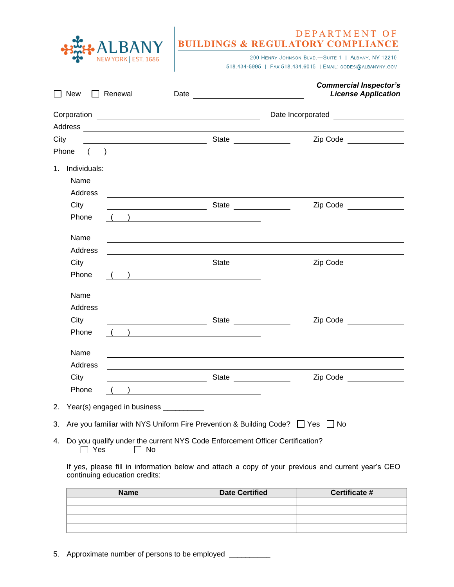| BANY |
|------|
|      |

## DEPARTMENT OF<br>BUILDINGS & REGULATORY COMPLIANCE

200 HENRY JOHNSON BLVD.-SUITE 1 | ALBANY, NY 12210 518.434-5995 | FAX 518.434.6015 | EMAIL: CODES@ALBANYNY.GOV

|               | New                                                                                                                                                                                                                              | $\Box$ Renewal                                                                                                                                                                                                                                                                                                                     | Date <u>_____________________</u>                                                                                                                                                                                                   | <b>Commercial Inspector's</b><br><b>License Application</b>                      |
|---------------|----------------------------------------------------------------------------------------------------------------------------------------------------------------------------------------------------------------------------------|------------------------------------------------------------------------------------------------------------------------------------------------------------------------------------------------------------------------------------------------------------------------------------------------------------------------------------|-------------------------------------------------------------------------------------------------------------------------------------------------------------------------------------------------------------------------------------|----------------------------------------------------------------------------------|
|               |                                                                                                                                                                                                                                  |                                                                                                                                                                                                                                                                                                                                    |                                                                                                                                                                                                                                     | Date Incorporated __________________                                             |
| City<br>Phone |                                                                                                                                                                                                                                  | $\overline{a}$ ( ) and $\overline{a}$ and $\overline{a}$ and $\overline{a}$ and $\overline{a}$ and $\overline{a}$ and $\overline{a}$ and $\overline{a}$ and $\overline{a}$ and $\overline{a}$ and $\overline{a}$ and $\overline{a}$ and $\overline{a}$ and $\overline{a}$ and $\overline{a}$ and $\overline{a}$ and $\overline{a}$ |                                                                                                                                                                                                                                     | Zip Code ______________                                                          |
| $1_{-}$       | Individuals:<br>Name<br>Address                                                                                                                                                                                                  |                                                                                                                                                                                                                                                                                                                                    |                                                                                                                                                                                                                                     |                                                                                  |
|               | City<br>Phone                                                                                                                                                                                                                    | $\begin{pmatrix} 1 & 1 \end{pmatrix}$                                                                                                                                                                                                                                                                                              | <u> 1989 - Jan Sterling Sterling, amerikansk politik (</u>                                                                                                                                                                          | Zip Code ______________                                                          |
|               | Name<br><b>Address</b>                                                                                                                                                                                                           |                                                                                                                                                                                                                                                                                                                                    |                                                                                                                                                                                                                                     | ,我们也不会有什么。""我们的人,我们也不会有什么?""我们的人,我们也不会有什么?""我们的人,我们也不会有什么?""我们的人,我们也不会有什么?""我们的人 |
|               | City<br>Phone                                                                                                                                                                                                                    | $\begin{array}{ccc} \begin{array}{ccc} \begin{array}{ccc} \end{array} & \end{array} & \begin{array}{ccc} \end{array} & \end{array}$                                                                                                                                                                                                | <b>State State</b> State State State State State State State State State State State State State State State State State State State State State State State State State State State State State State State State State State Stat | Zip Code _______________                                                         |
|               | Name<br><b>Address</b>                                                                                                                                                                                                           | <u>and the state of the state of the state of the state of the state of the state of the state of the state of the state of the state of the state of the state of the state of the state of the state of the state of the state</u>                                                                                               |                                                                                                                                                                                                                                     |                                                                                  |
|               | City<br>Phone                                                                                                                                                                                                                    | $\begin{array}{ccc} \begin{array}{ccc} \begin{array}{ccc} \end{array} & \end{array} & \begin{array}{ccc} \end{array} & \begin{array}{ccc} \end{array} & \end{array}$                                                                                                                                                               | <u>State</u> State <b>State</b> State <b>State State</b>                                                                                                                                                                            | Zip Code ______________                                                          |
|               | Name<br><b>Address</b>                                                                                                                                                                                                           |                                                                                                                                                                                                                                                                                                                                    |                                                                                                                                                                                                                                     |                                                                                  |
|               | City<br>Phone                                                                                                                                                                                                                    |                                                                                                                                                                                                                                                                                                                                    | State                                                                                                                                                                                                                               | Zip Code ______________                                                          |
| 2.            |                                                                                                                                                                                                                                  | Year(s) engaged in business ___________                                                                                                                                                                                                                                                                                            |                                                                                                                                                                                                                                     |                                                                                  |
| 3.            | Are you familiar with NYS Uniform Fire Prevention & Building Code? □ Yes<br>l INo                                                                                                                                                |                                                                                                                                                                                                                                                                                                                                    |                                                                                                                                                                                                                                     |                                                                                  |
| 4.            | Do you qualify under the current NYS Code Enforcement Officer Certification?<br>Yes<br>No<br>If yes, please fill in information below and attach a copy of your previous and current year's CEO<br>continuing education credits: |                                                                                                                                                                                                                                                                                                                                    |                                                                                                                                                                                                                                     |                                                                                  |
|               |                                                                                                                                                                                                                                  |                                                                                                                                                                                                                                                                                                                                    |                                                                                                                                                                                                                                     |                                                                                  |
|               |                                                                                                                                                                                                                                  | Name                                                                                                                                                                                                                                                                                                                               | Data Cartified                                                                                                                                                                                                                      | $Cartificata$ #                                                                  |

| <b>Name</b> | <b>Date Certified</b> | Certificate # |
|-------------|-----------------------|---------------|
|             |                       |               |
|             |                       |               |
|             |                       |               |
|             |                       |               |